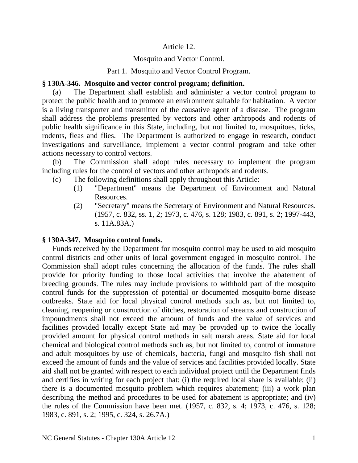#### Article 12.

#### Mosquito and Vector Control.

#### Part 1. Mosquito and Vector Control Program.

#### **§ 130A-346. Mosquito and vector control program; definition.**

(a) The Department shall establish and administer a vector control program to protect the public health and to promote an environment suitable for habitation. A vector is a living transporter and transmitter of the causative agent of a disease. The program shall address the problems presented by vectors and other arthropods and rodents of public health significance in this State, including, but not limited to, mosquitoes, ticks, rodents, fleas and flies. The Department is authorized to engage in research, conduct investigations and surveillance, implement a vector control program and take other actions necessary to control vectors.

(b) The Commission shall adopt rules necessary to implement the program including rules for the control of vectors and other arthropods and rodents.

- (c) The following definitions shall apply throughout this Article:
	- (1) "Department" means the Department of Environment and Natural Resources.
	- (2) "Secretary" means the Secretary of Environment and Natural Resources. (1957, c. 832, ss. 1, 2; 1973, c. 476, s. 128; 1983, c. 891, s. 2; 1997-443, s. 11A.83A.)

# **§ 130A-347. Mosquito control funds.**

Funds received by the Department for mosquito control may be used to aid mosquito control districts and other units of local government engaged in mosquito control. The Commission shall adopt rules concerning the allocation of the funds. The rules shall provide for priority funding to those local activities that involve the abatement of breeding grounds. The rules may include provisions to withhold part of the mosquito control funds for the suppression of potential or documented mosquito-borne disease outbreaks. State aid for local physical control methods such as, but not limited to, cleaning, reopening or construction of ditches, restoration of streams and construction of impoundments shall not exceed the amount of funds and the value of services and facilities provided locally except State aid may be provided up to twice the locally provided amount for physical control methods in salt marsh areas. State aid for local chemical and biological control methods such as, but not limited to, control of immature and adult mosquitoes by use of chemicals, bacteria, fungi and mosquito fish shall not exceed the amount of funds and the value of services and facilities provided locally. State aid shall not be granted with respect to each individual project until the Department finds and certifies in writing for each project that: (i) the required local share is available; (ii) there is a documented mosquito problem which requires abatement; (iii) a work plan describing the method and procedures to be used for abatement is appropriate; and (iv) the rules of the Commission have been met. (1957, c. 832, s. 4; 1973, c. 476, s. 128; 1983, c. 891, s. 2; 1995, c. 324, s. 26.7A.)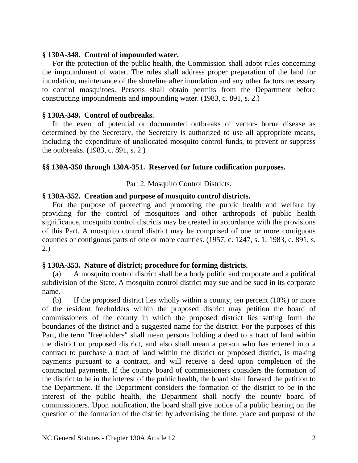#### **§ 130A-348. Control of impounded water.**

For the protection of the public health, the Commission shall adopt rules concerning the impoundment of water. The rules shall address proper preparation of the land for inundation, maintenance of the shoreline after inundation and any other factors necessary to control mosquitoes. Persons shall obtain permits from the Department before constructing impoundments and impounding water. (1983, c. 891, s. 2.)

#### **§ 130A-349. Control of outbreaks.**

In the event of potential or documented outbreaks of vector- borne disease as determined by the Secretary, the Secretary is authorized to use all appropriate means, including the expenditure of unallocated mosquito control funds, to prevent or suppress the outbreaks. (1983, c. 891, s. 2.)

# **§§ 130A-350 through 130A-351. Reserved for future codification purposes.**

# Part 2. Mosquito Control Districts.

# **§ 130A-352. Creation and purpose of mosquito control districts.**

For the purpose of protecting and promoting the public health and welfare by providing for the control of mosquitoes and other arthropods of public health significance, mosquito control districts may be created in accordance with the provisions of this Part. A mosquito control district may be comprised of one or more contiguous counties or contiguous parts of one or more counties. (1957, c. 1247, s. 1; 1983, c. 891, s. 2.)

# **§ 130A-353. Nature of district; procedure for forming districts.**

(a) A mosquito control district shall be a body politic and corporate and a political subdivision of the State. A mosquito control district may sue and be sued in its corporate name.

(b) If the proposed district lies wholly within a county, ten percent (10%) or more of the resident freeholders within the proposed district may petition the board of commissioners of the county in which the proposed district lies setting forth the boundaries of the district and a suggested name for the district. For the purposes of this Part, the term "freeholders" shall mean persons holding a deed to a tract of land within the district or proposed district, and also shall mean a person who has entered into a contract to purchase a tract of land within the district or proposed district, is making payments pursuant to a contract, and will receive a deed upon completion of the contractual payments. If the county board of commissioners considers the formation of the district to be in the interest of the public health, the board shall forward the petition to the Department. If the Department considers the formation of the district to be in the interest of the public health, the Department shall notify the county board of commissioners. Upon notification, the board shall give notice of a public hearing on the question of the formation of the district by advertising the time, place and purpose of the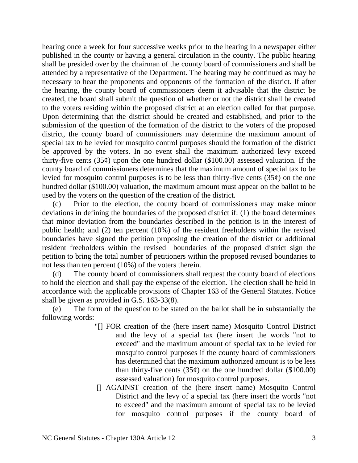hearing once a week for four successive weeks prior to the hearing in a newspaper either published in the county or having a general circulation in the county. The public hearing shall be presided over by the chairman of the county board of commissioners and shall be attended by a representative of the Department. The hearing may be continued as may be necessary to hear the proponents and opponents of the formation of the district. If after the hearing, the county board of commissioners deem it advisable that the district be created, the board shall submit the question of whether or not the district shall be created to the voters residing within the proposed district at an election called for that purpose. Upon determining that the district should be created and established, and prior to the submission of the question of the formation of the district to the voters of the proposed district, the county board of commissioners may determine the maximum amount of special tax to be levied for mosquito control purposes should the formation of the district be approved by the voters. In no event shall the maximum authorized levy exceed thirty-five cents (35 $\varphi$ ) upon the one hundred dollar (\$100.00) assessed valuation. If the county board of commissioners determines that the maximum amount of special tax to be levied for mosquito control purposes is to be less than thirty-five cents  $(35¢)$  on the one hundred dollar (\$100.00) valuation, the maximum amount must appear on the ballot to be used by the voters on the question of the creation of the district.

(c) Prior to the election, the county board of commissioners may make minor deviations in defining the boundaries of the proposed district if: (1) the board determines that minor deviation from the boundaries described in the petition is in the interest of public health; and (2) ten percent (10%) of the resident freeholders within the revised boundaries have signed the petition proposing the creation of the district or additional resident freeholders within the revised boundaries of the proposed district sign the petition to bring the total number of petitioners within the proposed revised boundaries to not less than ten percent (10%) of the voters therein.

(d) The county board of commissioners shall request the county board of elections to hold the election and shall pay the expense of the election. The election shall be held in accordance with the applicable provisions of Chapter 163 of the General Statutes. Notice shall be given as provided in G.S. 163-33(8).

(e) The form of the question to be stated on the ballot shall be in substantially the following words:

- "[] FOR creation of the (here insert name) Mosquito Control District and the levy of a special tax (here insert the words "not to exceed" and the maximum amount of special tax to be levied for mosquito control purposes if the county board of commissioners has determined that the maximum authorized amount is to be less than thirty-five cents  $(35¢)$  on the one hundred dollar  $(\$100.00)$ assessed valuation) for mosquito control purposes.
- [] AGAINST creation of the (here insert name) Mosquito Control District and the levy of a special tax (here insert the words "not to exceed" and the maximum amount of special tax to be levied for mosquito control purposes if the county board of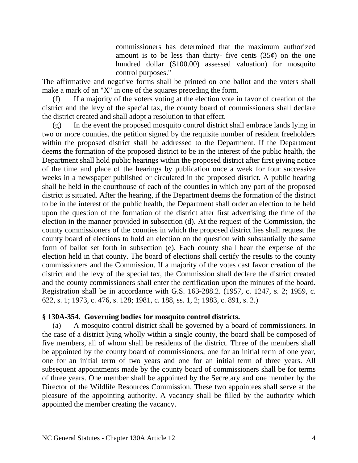commissioners has determined that the maximum authorized amount is to be less than thirty- five cents  $(35¢)$  on the one hundred dollar (\$100.00) assessed valuation) for mosquito control purposes."

The affirmative and negative forms shall be printed on one ballot and the voters shall make a mark of an "X" in one of the squares preceding the form.

(f) If a majority of the voters voting at the election vote in favor of creation of the district and the levy of the special tax, the county board of commissioners shall declare the district created and shall adopt a resolution to that effect.

(g) In the event the proposed mosquito control district shall embrace lands lying in two or more counties, the petition signed by the requisite number of resident freeholders within the proposed district shall be addressed to the Department. If the Department deems the formation of the proposed district to be in the interest of the public health, the Department shall hold public hearings within the proposed district after first giving notice of the time and place of the hearings by publication once a week for four successive weeks in a newspaper published or circulated in the proposed district. A public hearing shall be held in the courthouse of each of the counties in which any part of the proposed district is situated. After the hearing, if the Department deems the formation of the district to be in the interest of the public health, the Department shall order an election to be held upon the question of the formation of the district after first advertising the time of the election in the manner provided in subsection (d). At the request of the Commission, the county commissioners of the counties in which the proposed district lies shall request the county board of elections to hold an election on the question with substantially the same form of ballot set forth in subsection (e). Each county shall bear the expense of the election held in that county. The board of elections shall certify the results to the county commissioners and the Commission. If a majority of the votes cast favor creation of the district and the levy of the special tax, the Commission shall declare the district created and the county commissioners shall enter the certification upon the minutes of the board. Registration shall be in accordance with G.S. 163-288.2. (1957, c. 1247, s. 2; 1959, c. 622, s. 1; 1973, c. 476, s. 128; 1981, c. 188, ss. 1, 2; 1983, c. 891, s. 2.)

#### **§ 130A-354. Governing bodies for mosquito control districts.**

(a) A mosquito control district shall be governed by a board of commissioners. In the case of a district lying wholly within a single county, the board shall be composed of five members, all of whom shall be residents of the district. Three of the members shall be appointed by the county board of commissioners, one for an initial term of one year, one for an initial term of two years and one for an initial term of three years. All subsequent appointments made by the county board of commissioners shall be for terms of three years. One member shall be appointed by the Secretary and one member by the Director of the Wildlife Resources Commission. These two appointees shall serve at the pleasure of the appointing authority. A vacancy shall be filled by the authority which appointed the member creating the vacancy.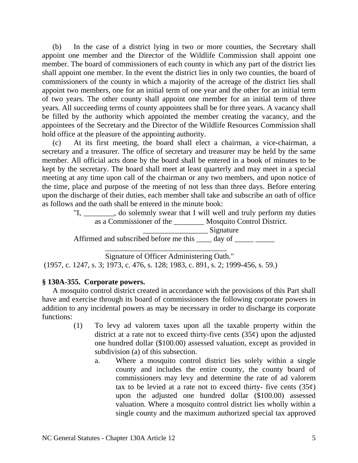(b) In the case of a district lying in two or more counties, the Secretary shall appoint one member and the Director of the Wildlife Commission shall appoint one member. The board of commissioners of each county in which any part of the district lies shall appoint one member. In the event the district lies in only two counties, the board of commissioners of the county in which a majority of the acreage of the district lies shall appoint two members, one for an initial term of one year and the other for an initial term of two years. The other county shall appoint one member for an initial term of three years. All succeeding terms of county appointees shall be for three years. A vacancy shall be filled by the authority which appointed the member creating the vacancy, and the appointees of the Secretary and the Director of the Wildlife Resources Commission shall hold office at the pleasure of the appointing authority.

(c) At its first meeting, the board shall elect a chairman, a vice-chairman, a secretary and a treasurer. The office of secretary and treasurer may be held by the same member. All official acts done by the board shall be entered in a book of minutes to be kept by the secretary. The board shall meet at least quarterly and may meet in a special meeting at any time upon call of the chairman or any two members, and upon notice of the time, place and purpose of the meeting of not less than three days. Before entering upon the discharge of their duties, each member shall take and subscribe an oath of office as follows and the oath shall be entered in the minute book:

"I, \_\_\_\_\_\_\_\_, do solemnly swear that I will well and truly perform my duties as a Commissioner of the \_\_\_\_\_\_\_\_ Mosquito Control District.

\_\_\_\_\_\_\_\_\_\_\_\_\_\_\_\_\_ Signature Affirmed and subscribed before me this \_\_\_\_ day of \_\_\_\_\_\_

\_\_\_\_\_\_\_\_\_\_\_\_\_\_\_\_\_\_\_\_\_\_\_\_\_\_\_\_\_\_\_\_

Signature of Officer Administering Oath." (1957, c. 1247, s. 3; 1973, c. 476, s. 128; 1983, c. 891, s. 2; 1999-456, s. 59.)

# **§ 130A-355. Corporate powers.**

A mosquito control district created in accordance with the provisions of this Part shall have and exercise through its board of commissioners the following corporate powers in addition to any incidental powers as may be necessary in order to discharge its corporate functions:

- (1) To levy ad valorem taxes upon all the taxable property within the district at a rate not to exceed thirty-five cents  $(35¢)$  upon the adjusted one hundred dollar (\$100.00) assessed valuation, except as provided in subdivision (a) of this subsection.
	- a. Where a mosquito control district lies solely within a single county and includes the entire county, the county board of commissioners may levy and determine the rate of ad valorem tax to be levied at a rate not to exceed thirty- five cents  $(35¢)$ upon the adjusted one hundred dollar (\$100.00) assessed valuation. Where a mosquito control district lies wholly within a single county and the maximum authorized special tax approved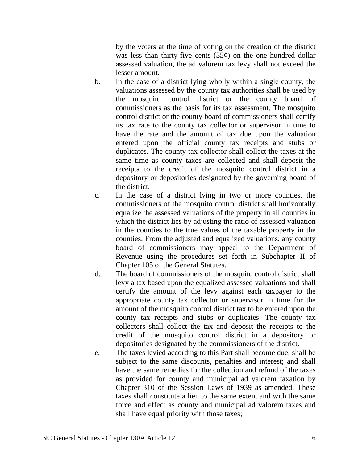by the voters at the time of voting on the creation of the district was less than thirty-five cents  $(35¢)$  on the one hundred dollar assessed valuation, the ad valorem tax levy shall not exceed the lesser amount.

- b. In the case of a district lying wholly within a single county, the valuations assessed by the county tax authorities shall be used by the mosquito control district or the county board of commissioners as the basis for its tax assessment. The mosquito control district or the county board of commissioners shall certify its tax rate to the county tax collector or supervisor in time to have the rate and the amount of tax due upon the valuation entered upon the official county tax receipts and stubs or duplicates. The county tax collector shall collect the taxes at the same time as county taxes are collected and shall deposit the receipts to the credit of the mosquito control district in a depository or depositories designated by the governing board of the district.
- c. In the case of a district lying in two or more counties, the commissioners of the mosquito control district shall horizontally equalize the assessed valuations of the property in all counties in which the district lies by adjusting the ratio of assessed valuation in the counties to the true values of the taxable property in the counties. From the adjusted and equalized valuations, any county board of commissioners may appeal to the Department of Revenue using the procedures set forth in Subchapter II of Chapter 105 of the General Statutes.
- d. The board of commissioners of the mosquito control district shall levy a tax based upon the equalized assessed valuations and shall certify the amount of the levy against each taxpayer to the appropriate county tax collector or supervisor in time for the amount of the mosquito control district tax to be entered upon the county tax receipts and stubs or duplicates. The county tax collectors shall collect the tax and deposit the receipts to the credit of the mosquito control district in a depository or depositories designated by the commissioners of the district.
- e. The taxes levied according to this Part shall become due; shall be subject to the same discounts, penalties and interest; and shall have the same remedies for the collection and refund of the taxes as provided for county and municipal ad valorem taxation by Chapter 310 of the Session Laws of 1939 as amended. These taxes shall constitute a lien to the same extent and with the same force and effect as county and municipal ad valorem taxes and shall have equal priority with those taxes;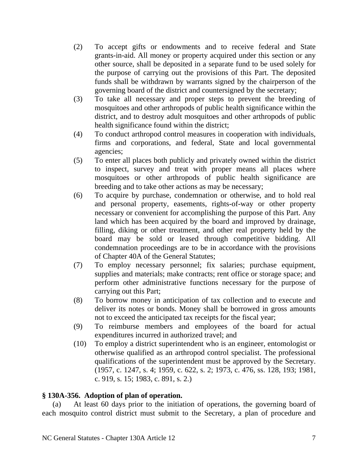- (2) To accept gifts or endowments and to receive federal and State grants-in-aid. All money or property acquired under this section or any other source, shall be deposited in a separate fund to be used solely for the purpose of carrying out the provisions of this Part. The deposited funds shall be withdrawn by warrants signed by the chairperson of the governing board of the district and countersigned by the secretary;
- (3) To take all necessary and proper steps to prevent the breeding of mosquitoes and other arthropods of public health significance within the district, and to destroy adult mosquitoes and other arthropods of public health significance found within the district;
- (4) To conduct arthropod control measures in cooperation with individuals, firms and corporations, and federal, State and local governmental agencies;
- (5) To enter all places both publicly and privately owned within the district to inspect, survey and treat with proper means all places where mosquitoes or other arthropods of public health significance are breeding and to take other actions as may be necessary;
- (6) To acquire by purchase, condemnation or otherwise, and to hold real and personal property, easements, rights-of-way or other property necessary or convenient for accomplishing the purpose of this Part. Any land which has been acquired by the board and improved by drainage, filling, diking or other treatment, and other real property held by the board may be sold or leased through competitive bidding. All condemnation proceedings are to be in accordance with the provisions of Chapter 40A of the General Statutes;
- (7) To employ necessary personnel; fix salaries; purchase equipment, supplies and materials; make contracts; rent office or storage space; and perform other administrative functions necessary for the purpose of carrying out this Part;
- (8) To borrow money in anticipation of tax collection and to execute and deliver its notes or bonds. Money shall be borrowed in gross amounts not to exceed the anticipated tax receipts for the fiscal year;
- (9) To reimburse members and employees of the board for actual expenditures incurred in authorized travel; and
- (10) To employ a district superintendent who is an engineer, entomologist or otherwise qualified as an arthropod control specialist. The professional qualifications of the superintendent must be approved by the Secretary. (1957, c. 1247, s. 4; 1959, c. 622, s. 2; 1973, c. 476, ss. 128, 193; 1981, c. 919, s. 15; 1983, c. 891, s. 2.)

# **§ 130A-356. Adoption of plan of operation.**

(a) At least 60 days prior to the initiation of operations, the governing board of each mosquito control district must submit to the Secretary, a plan of procedure and